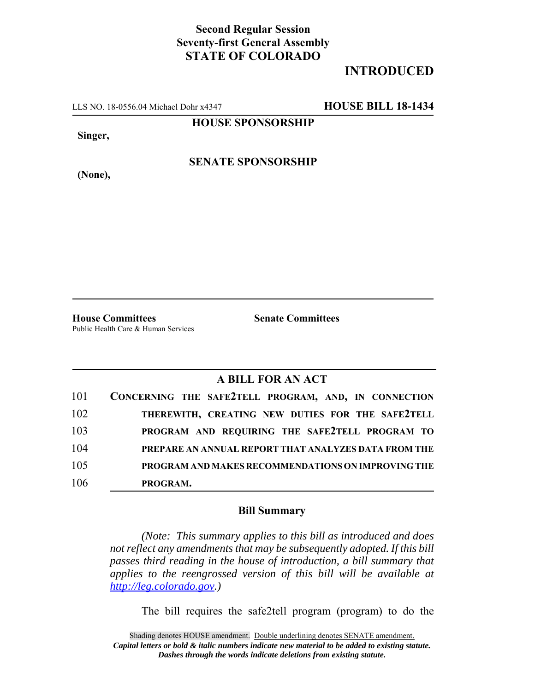## **Second Regular Session Seventy-first General Assembly STATE OF COLORADO**

## **INTRODUCED**

LLS NO. 18-0556.04 Michael Dohr x4347 **HOUSE BILL 18-1434**

**HOUSE SPONSORSHIP**

**Singer,**

**SENATE SPONSORSHIP**

**(None),**

**House Committees Senate Committees** Public Health Care & Human Services

## **A BILL FOR AN ACT**

| 101 | CONCERNING THE SAFE2TELL PROGRAM, AND, IN CONNECTION |
|-----|------------------------------------------------------|
| 102 | THEREWITH, CREATING NEW DUTIES FOR THE SAFE2TELL     |
| 103 | PROGRAM AND REQUIRING THE SAFE2TELL PROGRAM TO       |
| 104 | PREPARE AN ANNUAL REPORT THAT ANALYZES DATA FROM THE |
| 105 | PROGRAM AND MAKES RECOMMENDATIONS ON IMPROVING THE   |
| 106 | PROGRAM.                                             |

## **Bill Summary**

*(Note: This summary applies to this bill as introduced and does not reflect any amendments that may be subsequently adopted. If this bill passes third reading in the house of introduction, a bill summary that applies to the reengrossed version of this bill will be available at http://leg.colorado.gov.)*

The bill requires the safe2tell program (program) to do the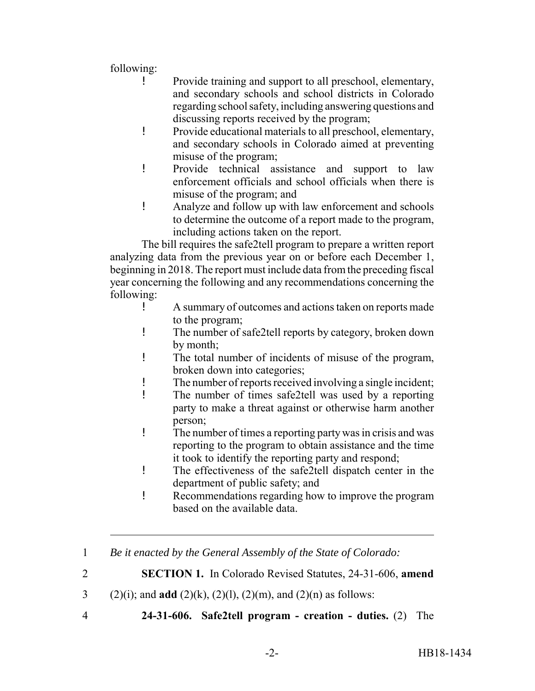following:

- ! Provide training and support to all preschool, elementary, and secondary schools and school districts in Colorado regarding school safety, including answering questions and discussing reports received by the program;
- ! Provide educational materials to all preschool, elementary, and secondary schools in Colorado aimed at preventing misuse of the program;
- ! Provide technical assistance and support to law enforcement officials and school officials when there is misuse of the program; and
- ! Analyze and follow up with law enforcement and schools to determine the outcome of a report made to the program, including actions taken on the report.

The bill requires the safe2tell program to prepare a written report analyzing data from the previous year on or before each December 1, beginning in 2018. The report must include data from the preceding fiscal year concerning the following and any recommendations concerning the following:

- ! A summary of outcomes and actions taken on reports made to the program;
- ! The number of safe2tell reports by category, broken down by month;
- ! The total number of incidents of misuse of the program, broken down into categories;
- ! The number of reports received involving a single incident;
- ! The number of times safe2tell was used by a reporting party to make a threat against or otherwise harm another person;
- ! The number of times a reporting party was in crisis and was reporting to the program to obtain assistance and the time it took to identify the reporting party and respond;
- ! The effectiveness of the safe2tell dispatch center in the department of public safety; and
- ! Recommendations regarding how to improve the program based on the available data.
- 1 *Be it enacted by the General Assembly of the State of Colorado:*

2 **SECTION 1.** In Colorado Revised Statutes, 24-31-606, **amend**

3 (2)(i); and **add** (2)(k), (2)(l), (2)(m), and (2)(n) as follows:

4 **24-31-606. Safe2tell program - creation - duties.** (2) The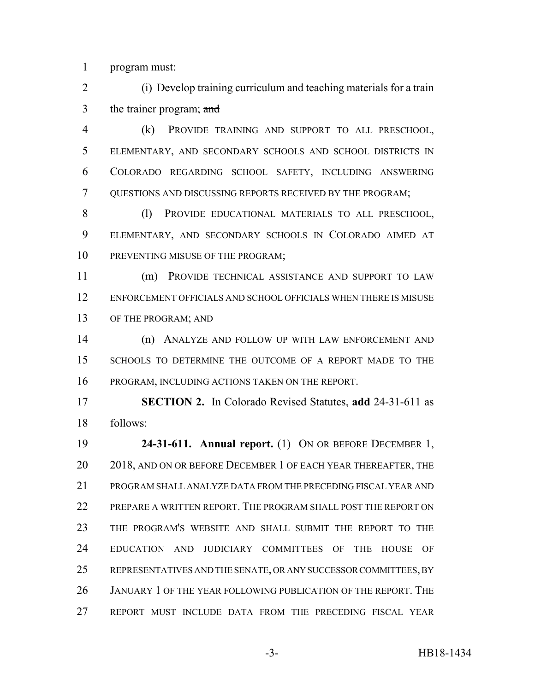program must:

 (i) Develop training curriculum and teaching materials for a train 3 the trainer program; and

 (k) PROVIDE TRAINING AND SUPPORT TO ALL PRESCHOOL, ELEMENTARY, AND SECONDARY SCHOOLS AND SCHOOL DISTRICTS IN COLORADO REGARDING SCHOOL SAFETY, INCLUDING ANSWERING QUESTIONS AND DISCUSSING REPORTS RECEIVED BY THE PROGRAM;

8 (l) PROVIDE EDUCATIONAL MATERIALS TO ALL PRESCHOOL, ELEMENTARY, AND SECONDARY SCHOOLS IN COLORADO AIMED AT 10 PREVENTING MISUSE OF THE PROGRAM;

 (m) PROVIDE TECHNICAL ASSISTANCE AND SUPPORT TO LAW ENFORCEMENT OFFICIALS AND SCHOOL OFFICIALS WHEN THERE IS MISUSE OF THE PROGRAM; AND

 (n) ANALYZE AND FOLLOW UP WITH LAW ENFORCEMENT AND SCHOOLS TO DETERMINE THE OUTCOME OF A REPORT MADE TO THE PROGRAM, INCLUDING ACTIONS TAKEN ON THE REPORT.

 **SECTION 2.** In Colorado Revised Statutes, **add** 24-31-611 as follows:

 **24-31-611. Annual report.** (1) ON OR BEFORE DECEMBER 1, 20 2018, AND ON OR BEFORE DECEMBER 1 OF EACH YEAR THEREAFTER, THE PROGRAM SHALL ANALYZE DATA FROM THE PRECEDING FISCAL YEAR AND 22 PREPARE A WRITTEN REPORT. THE PROGRAM SHALL POST THE REPORT ON THE PROGRAM'S WEBSITE AND SHALL SUBMIT THE REPORT TO THE EDUCATION AND JUDICIARY COMMITTEES OF THE HOUSE OF REPRESENTATIVES AND THE SENATE, OR ANY SUCCESSOR COMMITTEES, BY JANUARY 1 OF THE YEAR FOLLOWING PUBLICATION OF THE REPORT. THE REPORT MUST INCLUDE DATA FROM THE PRECEDING FISCAL YEAR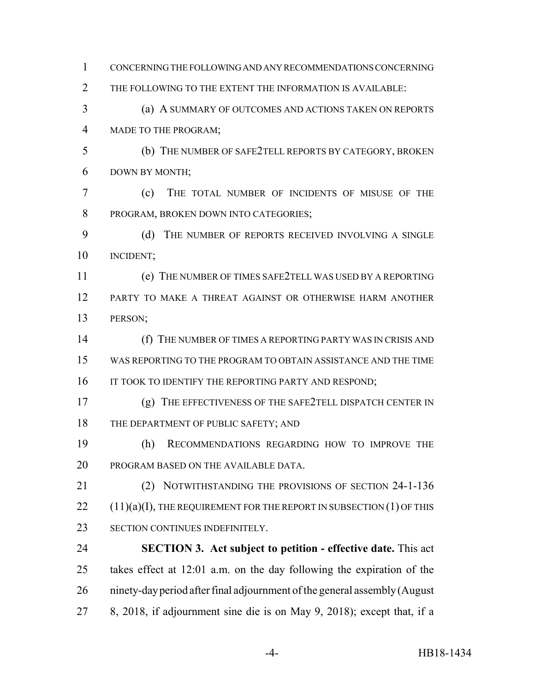CONCERNING THE FOLLOWING AND ANY RECOMMENDATIONS CONCERNING THE FOLLOWING TO THE EXTENT THE INFORMATION IS AVAILABLE: (a) A SUMMARY OF OUTCOMES AND ACTIONS TAKEN ON REPORTS MADE TO THE PROGRAM; (b) THE NUMBER OF SAFE2TELL REPORTS BY CATEGORY, BROKEN DOWN BY MONTH; (c) THE TOTAL NUMBER OF INCIDENTS OF MISUSE OF THE PROGRAM, BROKEN DOWN INTO CATEGORIES; 9 (d) THE NUMBER OF REPORTS RECEIVED INVOLVING A SINGLE INCIDENT; (e) THE NUMBER OF TIMES SAFE2TELL WAS USED BY A REPORTING PARTY TO MAKE A THREAT AGAINST OR OTHERWISE HARM ANOTHER PERSON; (f) THE NUMBER OF TIMES A REPORTING PARTY WAS IN CRISIS AND WAS REPORTING TO THE PROGRAM TO OBTAIN ASSISTANCE AND THE TIME 16 IT TOOK TO IDENTIFY THE REPORTING PARTY AND RESPOND; (g) THE EFFECTIVENESS OF THE SAFE2TELL DISPATCH CENTER IN 18 THE DEPARTMENT OF PUBLIC SAFETY; AND (h) RECOMMENDATIONS REGARDING HOW TO IMPROVE THE PROGRAM BASED ON THE AVAILABLE DATA. (2) NOTWITHSTANDING THE PROVISIONS OF SECTION 24-1-136 (11)(a)(I), THE REQUIREMENT FOR THE REPORT IN SUBSECTION (1) OF THIS SECTION CONTINUES INDEFINITELY. **SECTION 3. Act subject to petition - effective date.** This act takes effect at 12:01 a.m. on the day following the expiration of the ninety-day period after final adjournment of the general assembly (August 8, 2018, if adjournment sine die is on May 9, 2018); except that, if a